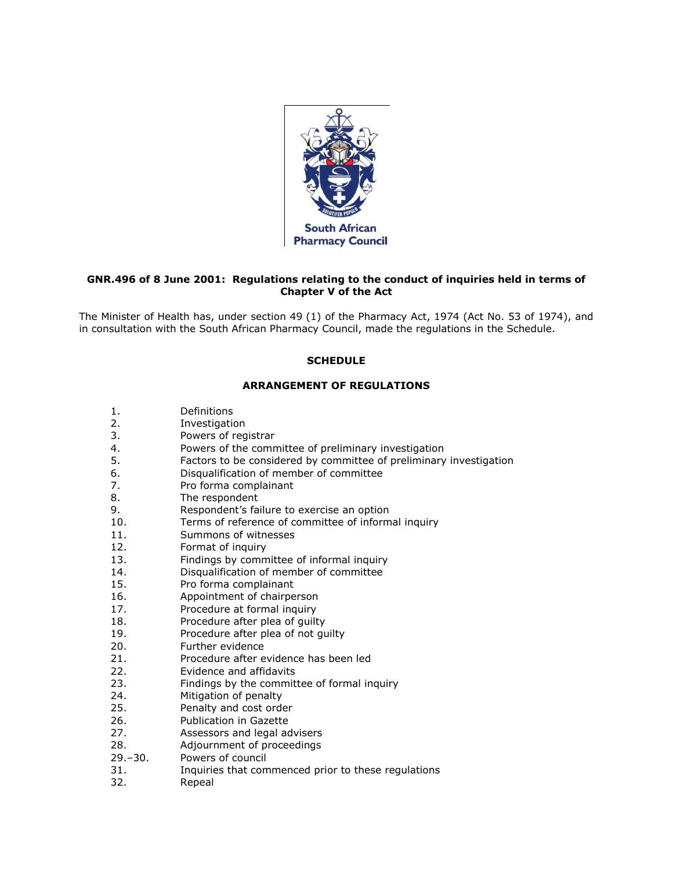

# **GNR.496 of 8 June 2001: Regulations relating to the conduct of inquiries held in terms of Chapter V of the Act**

The Minister of Health has, under [section 49](http://www.mylexisnexis.co.za/nxt/gateway.dll/jilc/kilc/xjsg/zmsg/0msg/g44h#1) (1) of the Pharmacy Act, 1974 (Act [No. 53 of 1974\)](http://www.mylexisnexis.co.za/nxt/gateway.dll/jilc/kilc/xjsg/zmsg/0msg#0), and in consultation with the South African Pharmacy Council, made the regulations in [the Schedule.](http://www.mylexisnexis.co.za/nxt/gateway.dll/jilc/kilc/xjsg/zmsg/cnsg/6ok2a/qvk2a?f=templates$fn=document-frame.htm$3.0$q=$x=$nc=3600#3pg)

# **SCHEDULE**

# **ARRANGEMENT OF REGULATIONS**

- [1.](http://www.mylexisnexis.co.za/nxt/gateway.dll/jilc/kilc/xjsg/zmsg/cnsg/6ok2a/qvk2a/rvk2a#3pf) Definitions
- [2.](http://www.mylexisnexis.co.za/nxt/gateway.dll/jilc/kilc/xjsg/zmsg/cnsg/6ok2a/qvk2a/svk2a#3ps) Investigation
- [3.](http://www.mylexisnexis.co.za/nxt/gateway.dll/jilc/kilc/xjsg/zmsg/cnsg/6ok2a/qvk2a/tvk2a#3pt) Powers of registrar
- [4.](http://www.mylexisnexis.co.za/nxt/gateway.dll/jilc/kilc/xjsg/zmsg/cnsg/6ok2a/qvk2a/uvk2a#3q9) Powers of the committee of preliminary investigation
- [5.](http://www.mylexisnexis.co.za/nxt/gateway.dll/jilc/kilc/xjsg/zmsg/cnsg/6ok2a/qvk2a/vvk2a#3qs) Factors to be considered by committee of preliminary investigation
- [6.](http://www.mylexisnexis.co.za/nxt/gateway.dll/jilc/kilc/xjsg/zmsg/cnsg/6ok2a/qvk2a/wvk2a#3qx) Disqualification of member of committee
- [7.](http://www.mylexisnexis.co.za/nxt/gateway.dll/jilc/kilc/xjsg/zmsg/cnsg/6ok2a/qvk2a/xvk2a#3qy) Pro forma complainant
- [8.](http://www.mylexisnexis.co.za/nxt/gateway.dll/jilc/kilc/xjsg/zmsg/cnsg/6ok2a/qvk2a/yvk2a#3r1) The respondent
- [9.](http://www.mylexisnexis.co.za/nxt/gateway.dll/jilc/kilc/xjsg/zmsg/cnsg/6ok2a/qvk2a/zvk2a#3ra) Respondent's failure to exercise an option
- [10.](http://www.mylexisnexis.co.za/nxt/gateway.dll/jilc/kilc/xjsg/zmsg/cnsg/6ok2a/qvk2a/0vk2a#3rb) Terms of reference of committee of informal inquiry
- [11.](http://www.mylexisnexis.co.za/nxt/gateway.dll/jilc/kilc/xjsg/zmsg/cnsg/6ok2a/qvk2a/1vk2a#3rf) Summons of witnesses
- [12.](http://www.mylexisnexis.co.za/nxt/gateway.dll/jilc/kilc/xjsg/zmsg/cnsg/6ok2a/qvk2a/2vk2a#3rj) Format of inquiry
- [13.](http://www.mylexisnexis.co.za/nxt/gateway.dll/jilc/kilc/xjsg/zmsg/cnsg/6ok2a/qvk2a/3vk2a#3rm) Findings by committee of informal inquiry
- [14.](http://www.mylexisnexis.co.za/nxt/gateway.dll/jilc/kilc/xjsg/zmsg/cnsg/6ok2a/qvk2a/4vk2a#3rw) Disqualification of member of committee
- [15.](http://www.mylexisnexis.co.za/nxt/gateway.dll/jilc/kilc/xjsg/zmsg/cnsg/6ok2a/qvk2a/5vk2a#3rx) Pro forma complainant
- [16.](http://www.mylexisnexis.co.za/nxt/gateway.dll/jilc/kilc/xjsg/zmsg/cnsg/6ok2a/qvk2a/6vk2a#3s6) Appointment of chairperson
- [17.](http://www.mylexisnexis.co.za/nxt/gateway.dll/jilc/kilc/xjsg/zmsg/cnsg/6ok2a/qvk2a/7vk2a#3s7) Procedure at formal inquiry
- [18.](http://www.mylexisnexis.co.za/nxt/gateway.dll/jilc/kilc/xjsg/zmsg/cnsg/6ok2a/qvk2a/8vk2a#3sd) Procedure after plea of guilty
- [19.](http://www.mylexisnexis.co.za/nxt/gateway.dll/jilc/kilc/xjsg/zmsg/cnsg/6ok2a/qvk2a/9vk2a#3se) Procedure after plea of not guilty
- [20.](http://www.mylexisnexis.co.za/nxt/gateway.dll/jilc/kilc/xjsg/zmsg/cnsg/6ok2a/qvk2a/awk2a#3sl) Further evidence
- [21.](http://www.mylexisnexis.co.za/nxt/gateway.dll/jilc/kilc/xjsg/zmsg/cnsg/6ok2a/qvk2a/bwk2a#3sq) Procedure after evidence has been led
- [22.](http://www.mylexisnexis.co.za/nxt/gateway.dll/jilc/kilc/xjsg/zmsg/cnsg/6ok2a/qvk2a/cwk2a#3su) Evidence and affidavits
- [23.](http://www.mylexisnexis.co.za/nxt/gateway.dll/jilc/kilc/xjsg/zmsg/cnsg/6ok2a/qvk2a/dwk2a#3sy) Findings by the committee of formal inquiry
- [24.](http://www.mylexisnexis.co.za/nxt/gateway.dll/jilc/kilc/xjsg/zmsg/cnsg/6ok2a/qvk2a/ewk2a#3t6) Mitigation of penalty
- [25.](http://www.mylexisnexis.co.za/nxt/gateway.dll/jilc/kilc/xjsg/zmsg/cnsg/6ok2a/qvk2a/fwk2a#3tb) Penalty and cost order
- [26.](http://www.mylexisnexis.co.za/nxt/gateway.dll/jilc/kilc/xjsg/zmsg/cnsg/6ok2a/qvk2a/gwk2a#3tf) Publication in Gazette
- [27.](http://www.mylexisnexis.co.za/nxt/gateway.dll/jilc/kilc/xjsg/zmsg/cnsg/6ok2a/qvk2a/hwk2a#3tg) Assessors and legal advisers
- [28.](http://www.mylexisnexis.co.za/nxt/gateway.dll/jilc/kilc/xjsg/zmsg/cnsg/6ok2a/qvk2a/iwk2a#3tj) Adjournment of proceedings
- [29.](http://www.mylexisnexis.co.za/nxt/gateway.dll/jilc/kilc/xjsg/zmsg/cnsg/6ok2a/qvk2a/jwk2a#3tl)–[30.](http://www.mylexisnexis.co.za/nxt/gateway.dll/jilc/kilc/xjsg/zmsg/cnsg/6ok2a/qvk2a/kwk2a#3tm) Powers of council
- [31.](http://www.mylexisnexis.co.za/nxt/gateway.dll/jilc/kilc/xjsg/zmsg/cnsg/6ok2a/qvk2a/lwk2a#3tq) Inquiries that commenced prior to these regulations
- [32.](http://www.mylexisnexis.co.za/nxt/gateway.dll/jilc/kilc/xjsg/zmsg/cnsg/6ok2a/qvk2a/mwk2a#3tr) Repeal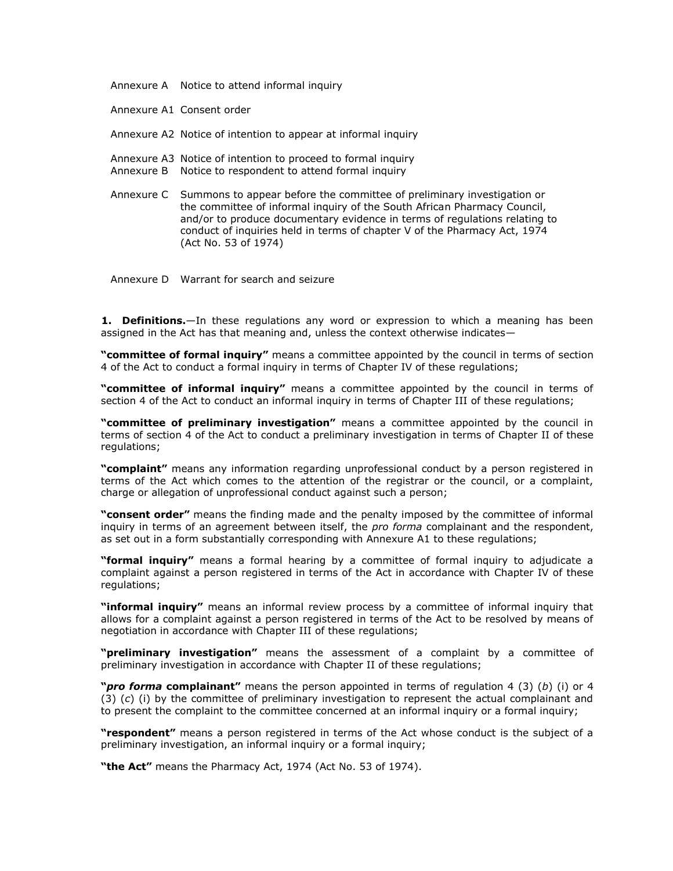[Annexure A](http://www.mylexisnexis.co.za/nxt/gateway.dll/jilc/kilc/xjsg/zmsg/cnsg/6ok2a/qvk2a/nwk2a#3ts) Notice to attend informal inquiry

[Annexure A1](http://www.mylexisnexis.co.za/nxt/gateway.dll/jilc/kilc/xjsg/zmsg/cnsg/6ok2a/qvk2a/owk2a#3tt) Consent order

[Annexure A2](http://www.mylexisnexis.co.za/nxt/gateway.dll/jilc/kilc/xjsg/zmsg/cnsg/6ok2a/qvk2a/pwk2a#3tu) Notice of intention to appear at informal inquiry

[Annexure A3](http://www.mylexisnexis.co.za/nxt/gateway.dll/jilc/kilc/xjsg/zmsg/cnsg/6ok2a/qvk2a/qwk2a#3tv) Notice of intention to proceed to formal inquiry

- [Annexure B](http://www.mylexisnexis.co.za/nxt/gateway.dll/jilc/kilc/xjsg/zmsg/cnsg/6ok2a/qvk2a/swk2a#3tw) Notice to respondent to attend formal inquiry
- [Annexure C](http://www.mylexisnexis.co.za/nxt/gateway.dll/jilc/kilc/xjsg/zmsg/cnsg/6ok2a/qvk2a/uwk2a#3tx) Summons to appear before the committee of preliminary investigation or the committee of informal inquiry of the South African Pharmacy Council, and/or to produce documentary evidence in terms of regulations relating to conduct of inquiries held in terms of chapter V of the Pharmacy Act, 1974 (Act [No. 53 of 1974\)](http://www.mylexisnexis.co.za/nxt/gateway.dll/jilc/kilc/xjsg/zmsg/0msg#0)

[Annexure D](http://www.mylexisnexis.co.za/nxt/gateway.dll/jilc/kilc/xjsg/zmsg/cnsg/6ok2a/qvk2a/wwk2a#3ty) Warrant for search and seizure

**1. Definitions.**—In these regulations any word or expression to which a meaning has been assigned in the Act has that meaning and, unless the context otherwise indicates—

**"committee of formal inquiry"** means a committee appointed by the council in terms of [section](http://www.mylexisnexis.co.za/nxt/gateway.dll/jilc/kilc/xjsg/zmsg/0msg/m14h#0)  [4](http://www.mylexisnexis.co.za/nxt/gateway.dll/jilc/kilc/xjsg/zmsg/0msg/m14h#0) of the Act to conduct a formal inquiry in terms of [Chapter IV](http://www.mylexisnexis.co.za/nxt/gateway.dll/jilc/kilc/xjsg/zmsg/cnsg/6ok2a/qvk2a/3vk2a#3rv) of these regulations;

**"committee of informal inquiry"** means a committee appointed by the council in terms of [section 4](http://www.mylexisnexis.co.za/nxt/gateway.dll/jilc/kilc/xjsg/zmsg/0msg/m14h#0) of the Act to conduct an informal inquiry in terms of [Chapter III](http://www.mylexisnexis.co.za/nxt/gateway.dll/jilc/kilc/xjsg/zmsg/cnsg/6ok2a/qvk2a/vvk2a#3qw) of these regulations;

**"committee of preliminary investigation"** means a committee appointed by the council in terms of [section 4](http://www.mylexisnexis.co.za/nxt/gateway.dll/jilc/kilc/xjsg/zmsg/0msg/m14h#0) of the Act to conduct a preliminary investigation in terms of [Chapter II](http://www.mylexisnexis.co.za/nxt/gateway.dll/jilc/kilc/xjsg/zmsg/cnsg/6ok2a/qvk2a/tvk2a#3q8) of these regulations;

**"complaint"** means any information regarding unprofessional conduct by a person registered in terms of the Act which comes to the attention of the registrar or the council, or a complaint, charge or allegation of unprofessional conduct against such a person;

**"consent order"** means the finding made and the penalty imposed by the committee of informal inquiry in terms of an agreement between itself, the *pro forma* complainant and the respondent, as set out in a form substantially corresponding with Annexure A1 to these regulations;

**"formal inquiry"** means a formal hearing by a committee of formal inquiry to adjudicate a complaint against a person registered in terms of the Act in accordance with [Chapter IV](http://www.mylexisnexis.co.za/nxt/gateway.dll/jilc/kilc/xjsg/zmsg/cnsg/6ok2a/qvk2a/3vk2a#3rv) of these regulations;

**"informal inquiry"** means an informal review process by a committee of informal inquiry that allows for a complaint against a person registered in terms of the Act to be resolved by means of negotiation in accordance with [Chapter III](http://www.mylexisnexis.co.za/nxt/gateway.dll/jilc/kilc/xjsg/zmsg/cnsg/6ok2a/qvk2a/vvk2a#3qw) of these regulations;

**"preliminary investigation"** means the assessment of a complaint by a committee of preliminary investigation in accordance with [Chapter II](http://www.mylexisnexis.co.za/nxt/gateway.dll/jilc/kilc/xjsg/zmsg/cnsg/6ok2a/qvk2a/tvk2a#3q8) of these regulations;

**"***pro forma* **complainant"** means the person appointed in terms of [regulation 4 \(3\) \(](http://www.mylexisnexis.co.za/nxt/gateway.dll/jilc/kilc/xjsg/zmsg/cnsg/6ok2a/qvk2a/uvk2a#3qm)*b*) (i) or [4](http://www.mylexisnexis.co.za/nxt/gateway.dll/jilc/kilc/xjsg/zmsg/cnsg/6ok2a/qvk2a/uvk2a#3qq)  [\(3\) \(](http://www.mylexisnexis.co.za/nxt/gateway.dll/jilc/kilc/xjsg/zmsg/cnsg/6ok2a/qvk2a/uvk2a#3qq)*c*) (i) by the committee of preliminary investigation to represent the actual complainant and to present the complaint to the committee concerned at an informal inquiry or a formal inquiry;

**"respondent"** means a person registered in terms of the Act whose conduct is the subject of a preliminary investigation, an informal inquiry or a formal inquiry;

**"the Act"** means the Pharmacy Act, 1974 (Act [No. 53 of 1974\)](http://www.mylexisnexis.co.za/nxt/gateway.dll/jilc/kilc/xjsg/zmsg/0msg#0).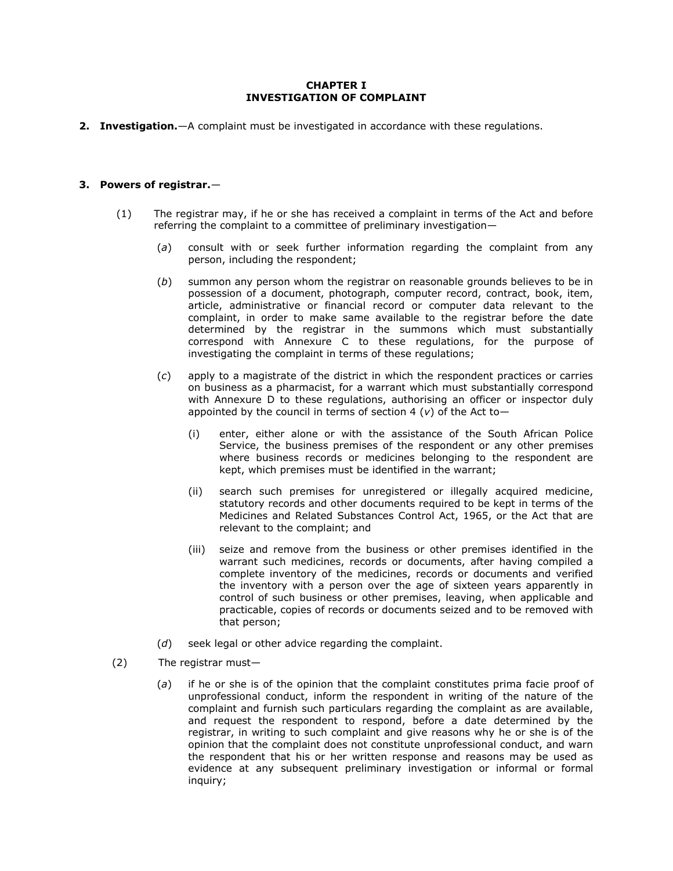# **CHAPTER I INVESTIGATION OF COMPLAINT**

**2. Investigation.**—A complaint must be investigated in accordance with these regulations.

# **3. Powers of registrar.**—

- (1) The registrar may, if he or she has received a complaint in terms of the Act and before referring the complaint to a committee of preliminary investigation—
	- (*a*) consult with or seek further information regarding the complaint from any person, including the respondent;
	- (*b*) summon any person whom the registrar on reasonable grounds believes to be in possession of a document, photograph, computer record, contract, book, item, article, administrative or financial record or computer data relevant to the complaint, in order to make same available to the registrar before the date determined by the registrar in the summons which must substantially correspond with [Annexure C](http://www.mylexisnexis.co.za/nxt/gateway.dll/jilc/kilc/xjsg/zmsg/cnsg/6ok2a/qvk2a/uwk2a#3tx) to these regulations, for the purpose of investigating the complaint in terms of these regulations;
	- (*c*) apply to a magistrate of the district in which the respondent practices or carries on business as a pharmacist, for a warrant which must substantially correspond with [Annexure D](http://www.mylexisnexis.co.za/nxt/gateway.dll/jilc/kilc/xjsg/zmsg/cnsg/6ok2a/qvk2a/wwk2a#3ty) to these regulations, authorising an officer or inspector duly appointed by the council in terms of [section 4 \(](http://www.mylexisnexis.co.za/nxt/gateway.dll/jilc/kilc/xjsg/zmsg/0msg/m14h#m)*v*) of the Act to—
		- (i) enter, either alone or with the assistance of the South African Police Service, the business premises of the respondent or any other premises where business records or medicines belonging to the respondent are kept, which premises must be identified in the warrant;
		- (ii) search such premises for unregistered or illegally acquired medicine, statutory records and other documents required to be kept in terms of the Medicines and Related Substances Control Act, 1965, or the Act that are relevant to the complaint; and
		- (iii) seize and remove from the business or other premises identified in the warrant such medicines, records or documents, after having compiled a complete inventory of the medicines, records or documents and verified the inventory with a person over the age of sixteen years apparently in control of such business or other premises, leaving, when applicable and practicable, copies of records or documents seized and to be removed with that person;
	- (*d*) seek legal or other advice regarding the complaint.
- (2) The registrar must—
	- (*a*) if he or she is of the opinion that the complaint constitutes prima facie proof of unprofessional conduct, inform the respondent in writing of the nature of the complaint and furnish such particulars regarding the complaint as are available, and request the respondent to respond, before a date determined by the registrar, in writing to such complaint and give reasons why he or she is of the opinion that the complaint does not constitute unprofessional conduct, and warn the respondent that his or her written response and reasons may be used as evidence at any subsequent preliminary investigation or informal or formal inquiry;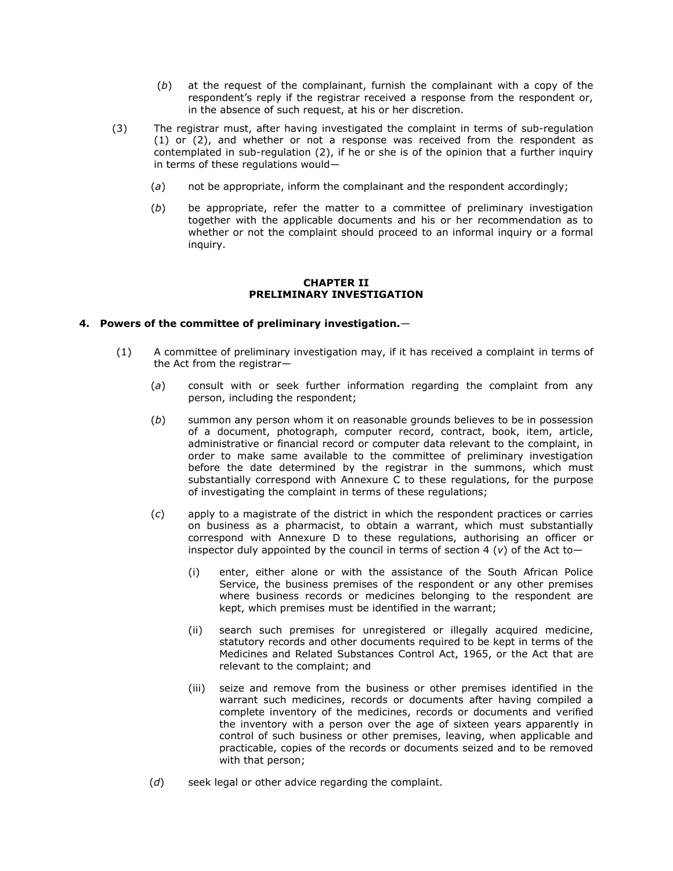- (*b*) at the request of the complainant, furnish the complainant with a copy of the respondent's reply if the registrar received a response from the respondent or, in the absence of such request, at his or her discretion.
- (3) The registrar must, after having investigated the complaint in terms of [sub-regulation](http://www.mylexisnexis.co.za/nxt/gateway.dll/jilc/kilc/xjsg/zmsg/cnsg/6ok2a/qvk2a/tvk2a?f=templates$fn=document-frame.htm$3.0$q=$x=$nc=9278#3pu)  [\(1\)](http://www.mylexisnexis.co.za/nxt/gateway.dll/jilc/kilc/xjsg/zmsg/cnsg/6ok2a/qvk2a/tvk2a?f=templates$fn=document-frame.htm$3.0$q=$x=$nc=9278#3pu) or [\(2\),](http://www.mylexisnexis.co.za/nxt/gateway.dll/jilc/kilc/xjsg/zmsg/cnsg/6ok2a/qvk2a/tvk2a?f=templates$fn=document-frame.htm$3.0$q=$x=$nc=9278#3q2) and whether or not a response was received from the respondent as contemplated in [sub-regulation \(2\),](http://www.mylexisnexis.co.za/nxt/gateway.dll/jilc/kilc/xjsg/zmsg/cnsg/6ok2a/qvk2a/tvk2a?f=templates$fn=document-frame.htm$3.0$q=$x=$nc=9278#3q2) if he or she is of the opinion that a further inquiry in terms of these regulations would—
	- (*a*) not be appropriate, inform the complainant and the respondent accordingly;
	- (*b*) be appropriate, refer the matter to a committee of preliminary investigation together with the applicable documents and his or her recommendation as to whether or not the complaint should proceed to an informal inquiry or a formal inquiry.

# **CHAPTER II PRELIMINARY INVESTIGATION**

# **4. Powers of the committee of preliminary investigation.**—

- (1) A committee of preliminary investigation may, if it has received a complaint in terms of the Act from the registrar—
	- (*a*) consult with or seek further information regarding the complaint from any person, including the respondent;
	- (*b*) summon any person whom it on reasonable grounds believes to be in possession of a document, photograph, computer record, contract, book, item, article, administrative or financial record or computer data relevant to the complaint, in order to make same available to the committee of preliminary investigation before the date determined by the registrar in the summons, which must substantially correspond with [Annexure C](http://www.mylexisnexis.co.za/nxt/gateway.dll/jilc/kilc/xjsg/zmsg/cnsg/6ok2a/qvk2a/uwk2a#3tx) to these regulations, for the purpose of investigating the complaint in terms of these regulations;
	- (*c*) apply to a magistrate of the district in which the respondent practices or carries on business as a pharmacist, to obtain a warrant, which must substantially correspond with [Annexure D](http://www.mylexisnexis.co.za/nxt/gateway.dll/jilc/kilc/xjsg/zmsg/cnsg/6ok2a/qvk2a/wwk2a#3ty) to these regulations, authorising an officer or inspector duly appointed by the council in terms of [section 4 \(](http://www.mylexisnexis.co.za/nxt/gateway.dll/jilc/kilc/xjsg/zmsg/0msg/m14h#m)*v*) of the Act to—
		- (i) enter, either alone or with the assistance of the South African Police Service, the business premises of the respondent or any other premises where business records or medicines belonging to the respondent are kept, which premises must be identified in the warrant;
		- (ii) search such premises for unregistered or illegally acquired medicine, statutory records and other documents required to be kept in terms of the Medicines and Related Substances Control Act, 1965, or the Act that are relevant to the complaint; and
		- (iii) seize and remove from the business or other premises identified in the warrant such medicines, records or documents after having compiled a complete inventory of the medicines, records or documents and verified the inventory with a person over the age of sixteen years apparently in control of such business or other premises, leaving, when applicable and practicable, copies of the records or documents seized and to be removed with that person;
	- (*d*) seek legal or other advice regarding the complaint.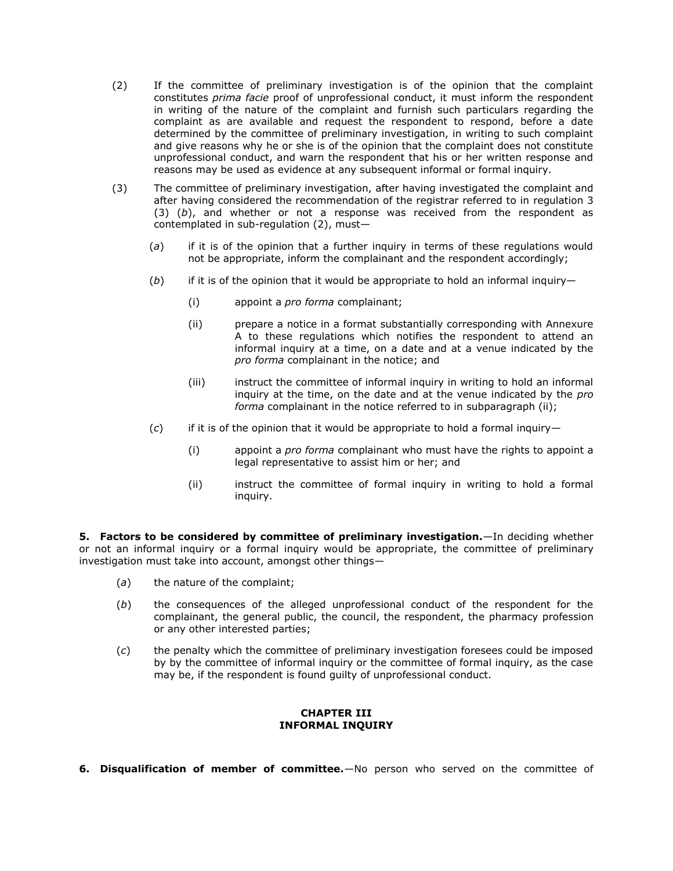- (2) If the committee of preliminary investigation is of the opinion that the complaint constitutes *prima facie* proof of unprofessional conduct, it must inform the respondent in writing of the nature of the complaint and furnish such particulars regarding the complaint as are available and request the respondent to respond, before a date determined by the committee of preliminary investigation, in writing to such complaint and give reasons why he or she is of the opinion that the complaint does not constitute unprofessional conduct, and warn the respondent that his or her written response and reasons may be used as evidence at any subsequent informal or formal inquiry.
- (3) The committee of preliminary investigation, after having investigated the complaint and after having considered the recommendation of the registrar referred to in [regulation 3](http://www.mylexisnexis.co.za/nxt/gateway.dll/jilc/kilc/xjsg/zmsg/cnsg/6ok2a/qvk2a/tvk2a#3q7)  [\(3\) \(](http://www.mylexisnexis.co.za/nxt/gateway.dll/jilc/kilc/xjsg/zmsg/cnsg/6ok2a/qvk2a/tvk2a#3q7)*b*), and whether or not a response was received from the respondent as contemplated in [sub-regulation \(2\),](http://www.mylexisnexis.co.za/nxt/gateway.dll/jilc/kilc/xjsg/zmsg/cnsg/6ok2a/qvk2a/uvk2a?f=templates$fn=document-frame.htm$3.0$q=$x=$nc=3478#3qi) must—
	- (*a*) if it is of the opinion that a further inquiry in terms of these regulations would not be appropriate, inform the complainant and the respondent accordingly;
	- (*b*) if it is of the opinion that it would be appropriate to hold an informal inquiry—
		- (i) appoint a *pro forma* complainant;
		- (ii) prepare a notice in a format substantially corresponding with [Annexure](http://www.mylexisnexis.co.za/nxt/gateway.dll/jilc/kilc/xjsg/zmsg/cnsg/6ok2a/qvk2a/nwk2a#3ts)  [A](http://www.mylexisnexis.co.za/nxt/gateway.dll/jilc/kilc/xjsg/zmsg/cnsg/6ok2a/qvk2a/nwk2a#3ts) to these regulations which notifies the respondent to attend an informal inquiry at a time, on a date and at a venue indicated by the *pro forma* complainant in the notice; and
		- (iii) instruct the committee of informal inquiry in writing to hold an informal inquiry at the time, on the date and at the venue indicated by the *pro forma* complainant in the notice referred to in [subparagraph \(ii\);](http://www.mylexisnexis.co.za/nxt/gateway.dll/jilc/kilc/xjsg/zmsg/cnsg/6ok2a/qvk2a/uvk2a?f=templates$fn=document-frame.htm$3.0$q=$x=$nc=3478#3qn)
	- (*c*) if it is of the opinion that it would be appropriate to hold a formal inquiry—
		- (i) appoint a *pro forma* complainant who must have the rights to appoint a legal representative to assist him or her; and
		- (ii) instruct the committee of formal inquiry in writing to hold a formal inquiry.

**5. Factors to be considered by committee of preliminary investigation.**—In deciding whether or not an informal inquiry or a formal inquiry would be appropriate, the committee of preliminary investigation must take into account, amongst other things—

- (*a*) the nature of the complaint;
- (*b*) the consequences of the alleged unprofessional conduct of the respondent for the complainant, the general public, the council, the respondent, the pharmacy profession or any other interested parties;
- (*c*) the penalty which the committee of preliminary investigation foresees could be imposed by by the committee of informal inquiry or the committee of formal inquiry, as the case may be, if the respondent is found guilty of unprofessional conduct.

# **CHAPTER III INFORMAL INQUIRY**

**6. Disqualification of member of committee.**—No person who served on the committee of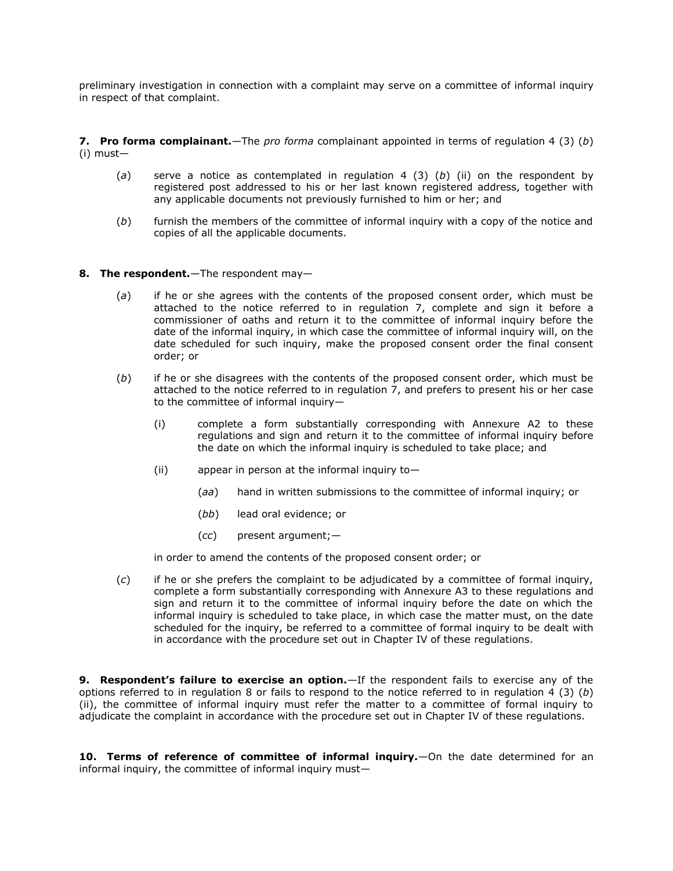preliminary investigation in connection with a complaint may serve on a committee of informal inquiry in respect of that complaint.

**7. Pro forma complainant.**—The *pro forma* complainant appointed in terms of [regulation 4 \(3\) \(](http://www.mylexisnexis.co.za/nxt/gateway.dll/jilc/kilc/xjsg/zmsg/cnsg/6ok2a/qvk2a/uvk2a#3qm)*b*) [\(i\)](http://www.mylexisnexis.co.za/nxt/gateway.dll/jilc/kilc/xjsg/zmsg/cnsg/6ok2a/qvk2a/uvk2a#3qm) must—

- (*a*) serve a notice as contemplated in [regulation 4 \(3\) \(](http://www.mylexisnexis.co.za/nxt/gateway.dll/jilc/kilc/xjsg/zmsg/cnsg/6ok2a/qvk2a/uvk2a#3qn)*b*) (ii) on the respondent by registered post addressed to his or her last known registered address, together with any applicable documents not previously furnished to him or her; and
- (*b*) furnish the members of the committee of informal inquiry with a copy of the notice and copies of all the applicable documents.
- **8. The respondent.**—The respondent may—
	- (*a*) if he or she agrees with the contents of the proposed consent order, which must be attached to the notice referred to in [regulation 7,](http://www.mylexisnexis.co.za/nxt/gateway.dll/jilc/kilc/xjsg/zmsg/cnsg/6ok2a/qvk2a/xvk2a#3qy) complete and sign it before a commissioner of oaths and return it to the committee of informal inquiry before the date of the informal inquiry, in which case the committee of informal inquiry will, on the date scheduled for such inquiry, make the proposed consent order the final consent order; or
	- (*b*) if he or she disagrees with the contents of the proposed consent order, which must be attached to the notice referred to in [regulation 7,](http://www.mylexisnexis.co.za/nxt/gateway.dll/jilc/kilc/xjsg/zmsg/cnsg/6ok2a/qvk2a/xvk2a#3qy) and prefers to present his or her case to the committee of informal inquiry—
		- (i) complete a form substantially corresponding with Annexure A2 to these regulations and sign and return it to the committee of informal inquiry before the date on which the informal inquiry is scheduled to take place; and
		- (ii) appear in person at the informal inquiry to-
			- (*aa*) hand in written submissions to the committee of informal inquiry; or
			- (*bb*) lead oral evidence; or
			- (*cc*) present argument;—

in order to amend the contents of the proposed consent order; or

(*c*) if he or she prefers the complaint to be adjudicated by a committee of formal inquiry, complete a form substantially corresponding with Annexure A3 to these regulations and sign and return it to the committee of informal inquiry before the date on which the informal inquiry is scheduled to take place, in which case the matter must, on the date scheduled for the inquiry, be referred to a committee of formal inquiry to be dealt with in accordance with the procedure set out in [Chapter IV](http://www.mylexisnexis.co.za/nxt/gateway.dll/jilc/kilc/xjsg/zmsg/cnsg/6ok2a/qvk2a/3vk2a#3rv) of these regulations.

**9. Respondent's failure to exercise an option.**—If the respondent fails to exercise any of the options referred to in [regulation 8](http://www.mylexisnexis.co.za/nxt/gateway.dll/jilc/kilc/xjsg/zmsg/cnsg/6ok2a/qvk2a/yvk2a#3r1) or fails to respond to the notice referred to in [regulation 4 \(3\) \(](http://www.mylexisnexis.co.za/nxt/gateway.dll/jilc/kilc/xjsg/zmsg/cnsg/6ok2a/qvk2a/uvk2a#3qn)*b*) [\(ii\),](http://www.mylexisnexis.co.za/nxt/gateway.dll/jilc/kilc/xjsg/zmsg/cnsg/6ok2a/qvk2a/uvk2a#3qn) the committee of informal inquiry must refer the matter to a committee of formal inquiry to adjudicate the complaint in accordance with the procedure set out in [Chapter IV](http://www.mylexisnexis.co.za/nxt/gateway.dll/jilc/kilc/xjsg/zmsg/cnsg/6ok2a/qvk2a/3vk2a#3rv) of these regulations.

**10. Terms of reference of committee of informal inquiry.**—On the date determined for an informal inquiry, the committee of informal inquiry must—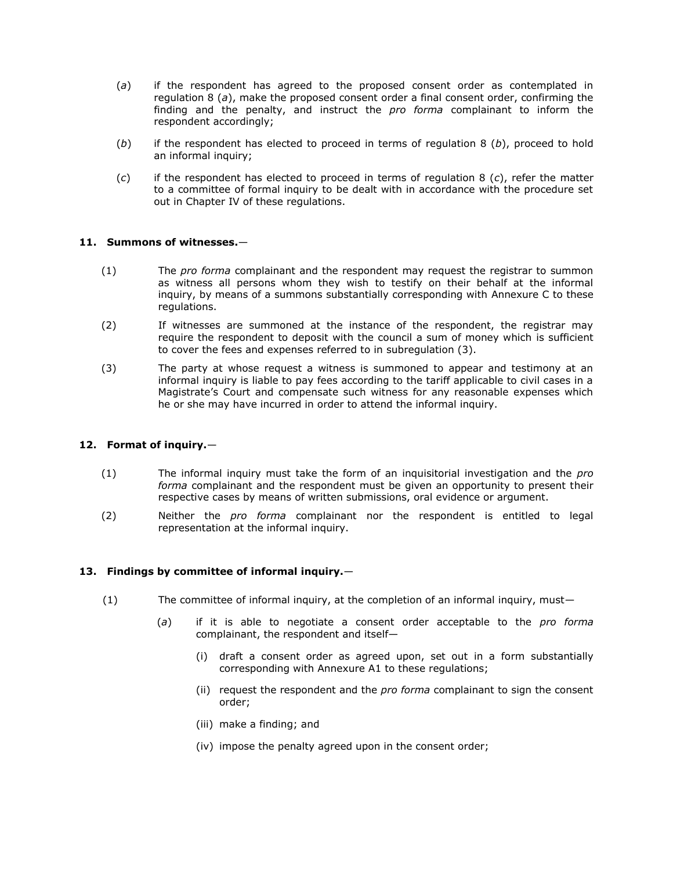- (*a*) if the respondent has agreed to the proposed consent order as contemplated in [regulation 8 \(](http://www.mylexisnexis.co.za/nxt/gateway.dll/jilc/kilc/xjsg/zmsg/cnsg/6ok2a/qvk2a/yvk2a#3r2)*a*), make the proposed consent order a final consent order, confirming the finding and the penalty, and instruct the *pro forma* complainant to inform the respondent accordingly;
- (*b*) if the respondent has elected to proceed in terms of [regulation 8 \(](http://www.mylexisnexis.co.za/nxt/gateway.dll/jilc/kilc/xjsg/zmsg/cnsg/6ok2a/qvk2a/yvk2a#3r3)*b*), proceed to hold an informal inquiry;
- (*c*) if the respondent has elected to proceed in terms of [regulation 8 \(](http://www.mylexisnexis.co.za/nxt/gateway.dll/jilc/kilc/xjsg/zmsg/cnsg/6ok2a/qvk2a/yvk2a#3r9)*c*), refer the matter to a committee of formal inquiry to be dealt with in accordance with the procedure set out in [Chapter IV](http://www.mylexisnexis.co.za/nxt/gateway.dll/jilc/kilc/xjsg/zmsg/cnsg/6ok2a/qvk2a/3vk2a#3rv) of these regulations.

# **11. Summons of witnesses.**—

- (1) The *pro forma* complainant and the respondent may request the registrar to summon as witness all persons whom they wish to testify on their behalf at the informal inquiry, by means of a summons substantially corresponding with [Annexure C](http://www.mylexisnexis.co.za/nxt/gateway.dll/jilc/kilc/xjsg/zmsg/cnsg/6ok2a/qvk2a/uwk2a#3tx) to these regulations.
- (2) If witnesses are summoned at the instance of the respondent, the registrar may require the respondent to deposit with the council a sum of money which is sufficient to cover the fees and expenses referred to in [subregulation \(3\).](http://www.mylexisnexis.co.za/nxt/gateway.dll/jilc/kilc/xjsg/zmsg/cnsg/6ok2a/qvk2a/1vk2a?f=templates$fn=document-frame.htm$3.0$q=$x=$nc=9504#3ri)
- (3) The party at whose request a witness is summoned to appear and testimony at an informal inquiry is liable to pay fees according to the tariff applicable to civil cases in a Magistrate's Court and compensate such witness for any reasonable expenses which he or she may have incurred in order to attend the informal inquiry.

## **12. Format of inquiry.**—

- (1) The informal inquiry must take the form of an inquisitorial investigation and the *pro forma* complainant and the respondent must be given an opportunity to present their respective cases by means of written submissions, oral evidence or argument.
- (2) Neither the *pro forma* complainant nor the respondent is entitled to legal representation at the informal inquiry.

## **13. Findings by committee of informal inquiry.**—

- (1) The committee of informal inquiry, at the completion of an informal inquiry, must—
	- (*a*) if it is able to negotiate a consent order acceptable to the *pro forma*  complainant, the respondent and itself—
		- (i) draft a consent order as agreed upon, set out in a form substantially corresponding with Annexure A1 to these regulations;
		- (ii) request the respondent and the *pro forma* complainant to sign the consent order;
		- (iii) make a finding; and
		- (iv) impose the penalty agreed upon in the consent order;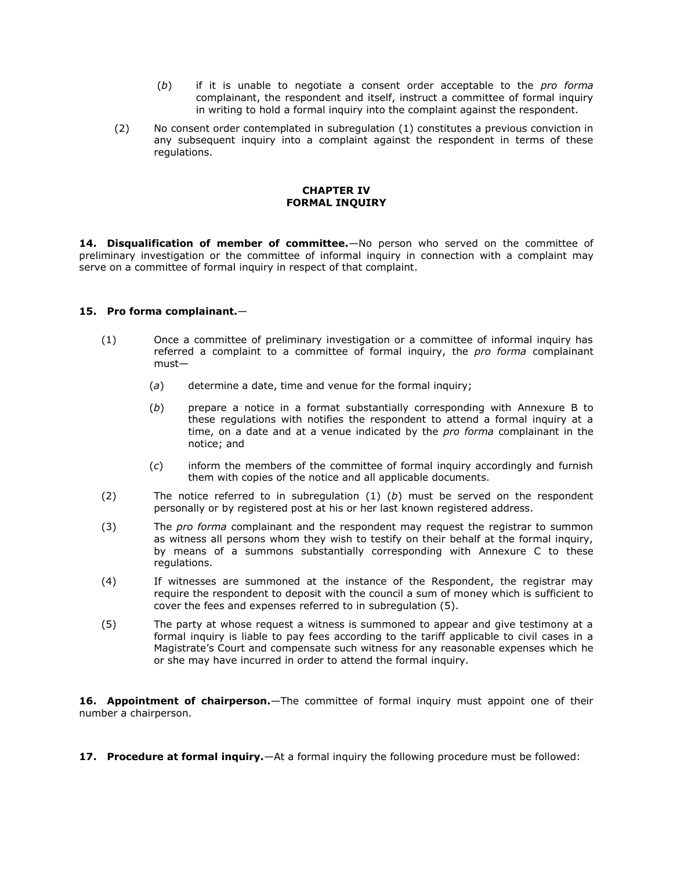- (*b*) if it is unable to negotiate a consent order acceptable to the *pro forma*  complainant, the respondent and itself, instruct a committee of formal inquiry in writing to hold a formal inquiry into the complaint against the respondent.
- (2) No consent order contemplated in [subregulation \(1\)](http://www.mylexisnexis.co.za/nxt/gateway.dll/jilc/kilc/xjsg/zmsg/cnsg/6ok2a/qvk2a/3vk2a?f=templates$fn=document-frame.htm$3.0$q=$x=$nc=3334#3rn) constitutes a previous conviction in any subsequent inquiry into a complaint against the respondent in terms of these regulations.

# **CHAPTER IV FORMAL INQUIRY**

**14. Disqualification of member of committee.**—No person who served on the committee of preliminary investigation or the committee of informal inquiry in connection with a complaint may serve on a committee of formal inquiry in respect of that complaint.

# **15. Pro forma complainant.**—

- (1) Once a committee of preliminary investigation or a committee of informal inquiry has referred a complaint to a committee of formal inquiry, the *pro forma* complainant must—
	- (*a*) determine a date, time and venue for the formal inquiry;
	- (*b*) prepare a notice in a format substantially corresponding with [Annexure B](http://www.mylexisnexis.co.za/nxt/gateway.dll/jilc/kilc/xjsg/zmsg/cnsg/6ok2a/qvk2a/swk2a#3tw) to these regulations with notifies the respondent to attend a formal inquiry at a time, on a date and at a venue indicated by the *pro forma* complainant in the notice; and
	- (*c*) inform the members of the committee of formal inquiry accordingly and furnish them with copies of the notice and all applicable documents.
- (2) The notice referred to in [subregulation \(1\) \(](http://www.mylexisnexis.co.za/nxt/gateway.dll/jilc/kilc/xjsg/zmsg/cnsg/6ok2a/qvk2a/5vk2a?f=templates$fn=document-frame.htm$3.0$q=$x=$nc=3820#3s0)*b*) must be served on the respondent personally or by registered post at his or her last known registered address.
- (3) The *pro forma* complainant and the respondent may request the registrar to summon as witness all persons whom they wish to testify on their behalf at the formal inquiry, by means of a summons substantially corresponding with [Annexure C](http://www.mylexisnexis.co.za/nxt/gateway.dll/jilc/kilc/xjsg/zmsg/cnsg/6ok2a/qvk2a/uwk2a#3tx) to these regulations.
- (4) If witnesses are summoned at the instance of the Respondent, the registrar may require the respondent to deposit with the council a sum of money which is sufficient to cover the fees and expenses referred to in [subregulation \(5\).](http://www.mylexisnexis.co.za/nxt/gateway.dll/jilc/kilc/xjsg/zmsg/cnsg/6ok2a/qvk2a/5vk2a?f=templates$fn=document-frame.htm$3.0$q=$x=$nc=3820#3s5)
- (5) The party at whose request a witness is summoned to appear and give testimony at a formal inquiry is liable to pay fees according to the tariff applicable to civil cases in a Magistrate's Court and compensate such witness for any reasonable expenses which he or she may have incurred in order to attend the formal inquiry.

**16. Appointment of chairperson.**—The committee of formal inquiry must appoint one of their number a chairperson.

**17. Procedure at formal inquiry.**—At a formal inquiry the following procedure must be followed: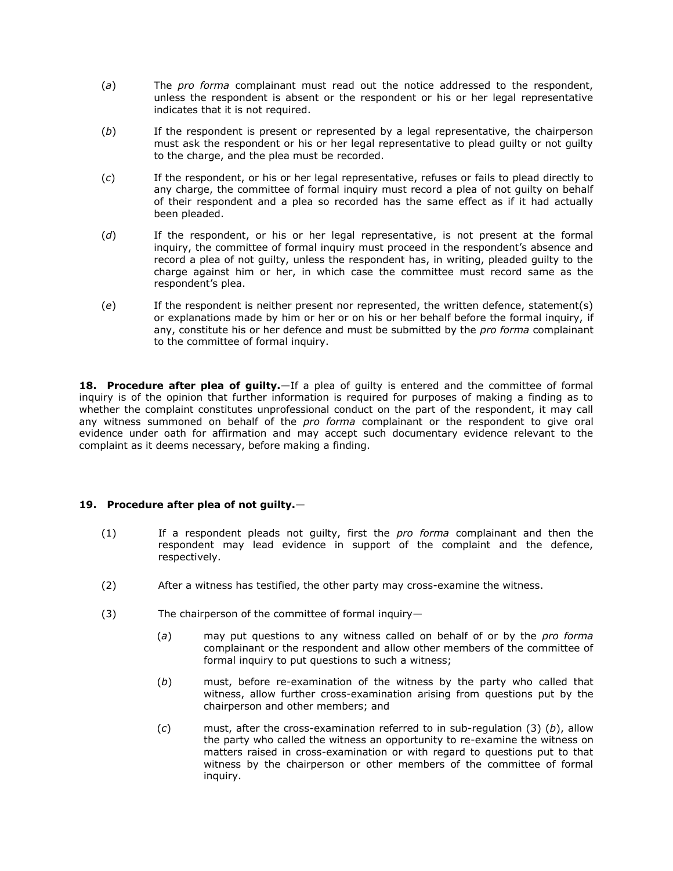- (*a*) The *pro forma* complainant must read out the notice addressed to the respondent, unless the respondent is absent or the respondent or his or her legal representative indicates that it is not required.
- (*b*) If the respondent is present or represented by a legal representative, the chairperson must ask the respondent or his or her legal representative to plead guilty or not guilty to the charge, and the plea must be recorded.
- (*c*) If the respondent, or his or her legal representative, refuses or fails to plead directly to any charge, the committee of formal inquiry must record a plea of not guilty on behalf of their respondent and a plea so recorded has the same effect as if it had actually been pleaded.
- (*d*) If the respondent, or his or her legal representative, is not present at the formal inquiry, the committee of formal inquiry must proceed in the respondent's absence and record a plea of not guilty, unless the respondent has, in writing, pleaded guilty to the charge against him or her, in which case the committee must record same as the respondent's plea.
- (*e*) If the respondent is neither present nor represented, the written defence, statement(s) or explanations made by him or her or on his or her behalf before the formal inquiry, if any, constitute his or her defence and must be submitted by the *pro forma* complainant to the committee of formal inquiry.

**18. Procedure after plea of guilty.**—If a plea of guilty is entered and the committee of formal inquiry is of the opinion that further information is required for purposes of making a finding as to whether the complaint constitutes unprofessional conduct on the part of the respondent, it may call any witness summoned on behalf of the *pro forma* complainant or the respondent to give oral evidence under oath for affirmation and may accept such documentary evidence relevant to the complaint as it deems necessary, before making a finding.

# **19. Procedure after plea of not guilty.**—

- (1) If a respondent pleads not guilty, first the *pro forma* complainant and then the respondent may lead evidence in support of the complaint and the defence, respectively.
- (2) After a witness has testified, the other party may cross-examine the witness.
- (3) The chairperson of the committee of formal inquiry—
	- (*a*) may put questions to any witness called on behalf of or by the *pro forma*  complainant or the respondent and allow other members of the committee of formal inquiry to put questions to such a witness;
	- (*b*) must, before re-examination of the witness by the party who called that witness, allow further cross-examination arising from questions put by the chairperson and other members; and
	- (*c*) must, after the cross-examination referred to in [sub-regulation \(3\) \(](http://www.mylexisnexis.co.za/nxt/gateway.dll/jilc/kilc/xjsg/zmsg/cnsg/6ok2a/qvk2a/9vk2a?f=templates$fn=document-frame.htm$3.0$q=$x=$nc=5602#3sj)*b*), allow the party who called the witness an opportunity to re-examine the witness on matters raised in cross-examination or with regard to questions put to that witness by the chairperson or other members of the committee of formal inquiry.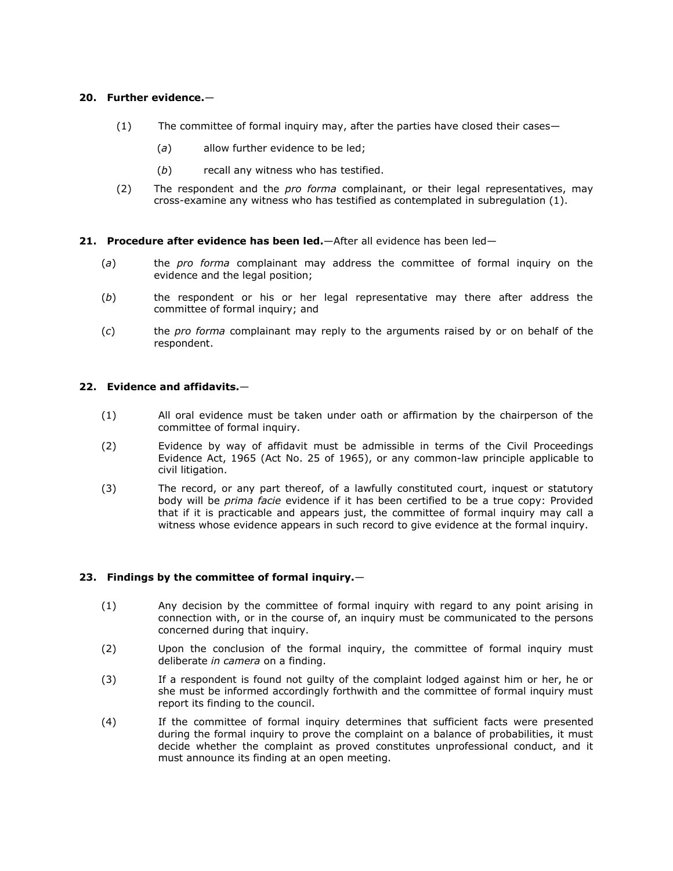# **20. Further evidence.**—

- (1) The committee of formal inquiry may, after the parties have closed their cases—
	- (*a*) allow further evidence to be led;
	- (*b*) recall any witness who has testified.
- (2) The respondent and the *pro forma* complainant, or their legal representatives, may cross-examine any witness who has testified as contemplated in [subregulation \(1\).](http://www.mylexisnexis.co.za/nxt/gateway.dll/jilc/kilc/xjsg/zmsg/cnsg/6ok2a/qvk2a/awk2a?f=templates$fn=document-frame.htm$3.0$q=$x=$nc=3657#3sm)

## **21. Procedure after evidence has been led.**—After all evidence has been led—

- (*a*) the *pro forma* complainant may address the committee of formal inquiry on the evidence and the legal position;
- (*b*) the respondent or his or her legal representative may there after address the committee of formal inquiry; and
- (*c*) the *pro forma* complainant may reply to the arguments raised by or on behalf of the respondent.

# **22. Evidence and affidavits.**—

- (1) All oral evidence must be taken under oath or affirmation by the chairperson of the committee of formal inquiry.
- (2) Evidence by way of affidavit must be admissible in terms of the Civil Proceedings Evidence Act, 1965 (Act [No. 25 of 1965\)](http://www.mylexisnexis.co.za/nxt/gateway.dll/jilc/kilc/egqg/8iqg/9iqg#0), or any common-law principle applicable to civil litigation.
- (3) The record, or any part thereof, of a lawfully constituted court, inquest or statutory body will be *prima facie* evidence if it has been certified to be a true copy: Provided that if it is practicable and appears just, the committee of formal inquiry may call a witness whose evidence appears in such record to give evidence at the formal inquiry.

# **23. Findings by the committee of formal inquiry.**—

- (1) Any decision by the committee of formal inquiry with regard to any point arising in connection with, or in the course of, an inquiry must be communicated to the persons concerned during that inquiry.
- (2) Upon the conclusion of the formal inquiry, the committee of formal inquiry must deliberate *in camera* on a finding.
- (3) If a respondent is found not guilty of the complaint lodged against him or her, he or she must be informed accordingly forthwith and the committee of formal inquiry must report its finding to the council.
- (4) If the committee of formal inquiry determines that sufficient facts were presented during the formal inquiry to prove the complaint on a balance of probabilities, it must decide whether the complaint as proved constitutes unprofessional conduct, and it must announce its finding at an open meeting.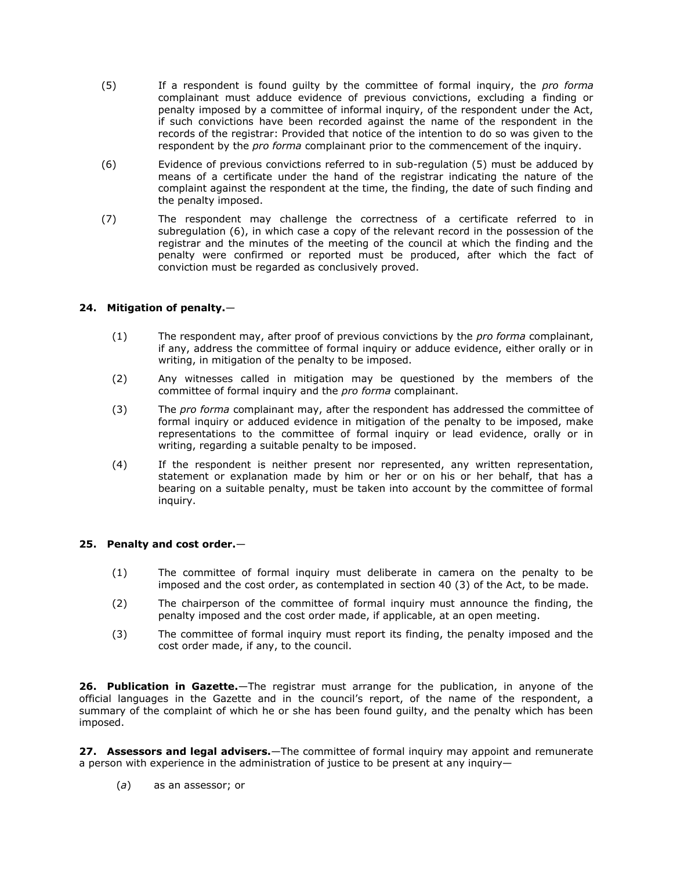- (5) If a respondent is found guilty by the committee of formal inquiry, the *pro forma*  complainant must adduce evidence of previous convictions, excluding a finding or penalty imposed by a committee of informal inquiry, of the respondent under the Act, if such convictions have been recorded against the name of the respondent in the records of the registrar: Provided that notice of the intention to do so was given to the respondent by the *pro forma* complainant prior to the commencement of the inquiry.
- (6) Evidence of previous convictions referred to in [sub-regulation \(5\)](http://www.mylexisnexis.co.za/nxt/gateway.dll/jilc/kilc/xjsg/zmsg/cnsg/6ok2a/qvk2a/dwk2a?f=templates$fn=document-frame.htm$3.0$q=$x=$nc=6629#3t3) must be adduced by means of a certificate under the hand of the registrar indicating the nature of the complaint against the respondent at the time, the finding, the date of such finding and the penalty imposed.
- (7) The respondent may challenge the correctness of a certificate referred to in [subregulation \(6\),](http://www.mylexisnexis.co.za/nxt/gateway.dll/jilc/kilc/xjsg/zmsg/cnsg/6ok2a/qvk2a/dwk2a?f=templates$fn=document-frame.htm$3.0$q=$x=$nc=6629#3t4) in which case a copy of the relevant record in the possession of the registrar and the minutes of the meeting of the council at which the finding and the penalty were confirmed or reported must be produced, after which the fact of conviction must be regarded as conclusively proved.

# **24. Mitigation of penalty.**—

- (1) The respondent may, after proof of previous convictions by the *pro forma* complainant, if any, address the committee of formal inquiry or adduce evidence, either orally or in writing, in mitigation of the penalty to be imposed.
- (2) Any witnesses called in mitigation may be questioned by the members of the committee of formal inquiry and the *pro forma* complainant.
- (3) The *pro forma* complainant may, after the respondent has addressed the committee of formal inquiry or adduced evidence in mitigation of the penalty to be imposed, make representations to the committee of formal inquiry or lead evidence, orally or in writing, regarding a suitable penalty to be imposed.
- (4) If the respondent is neither present nor represented, any written representation, statement or explanation made by him or her or on his or her behalf, that has a bearing on a suitable penalty, must be taken into account by the committee of formal inquiry.

# **25. Penalty and cost order.**—

- (1) The committee of formal inquiry must deliberate in camera on the penalty to be imposed and the cost order, as contemplated in [section 40 \(3\)](http://www.mylexisnexis.co.za/nxt/gateway.dll/jilc/kilc/xjsg/zmsg/0msg/u34h#a) of the Act, to be made.
- (2) The chairperson of the committee of formal inquiry must announce the finding, the penalty imposed and the cost order made, if applicable, at an open meeting.
- (3) The committee of formal inquiry must report its finding, the penalty imposed and the cost order made, if any, to the council.

**26. Publication in Gazette.**—The registrar must arrange for the publication, in anyone of the official languages in the Gazette and in the council's report, of the name of the respondent, a summary of the complaint of which he or she has been found guilty, and the penalty which has been imposed.

**27. Assessors and legal advisers.**—The committee of formal inquiry may appoint and remunerate a person with experience in the administration of justice to be present at any inquiry—

(*a*) as an assessor; or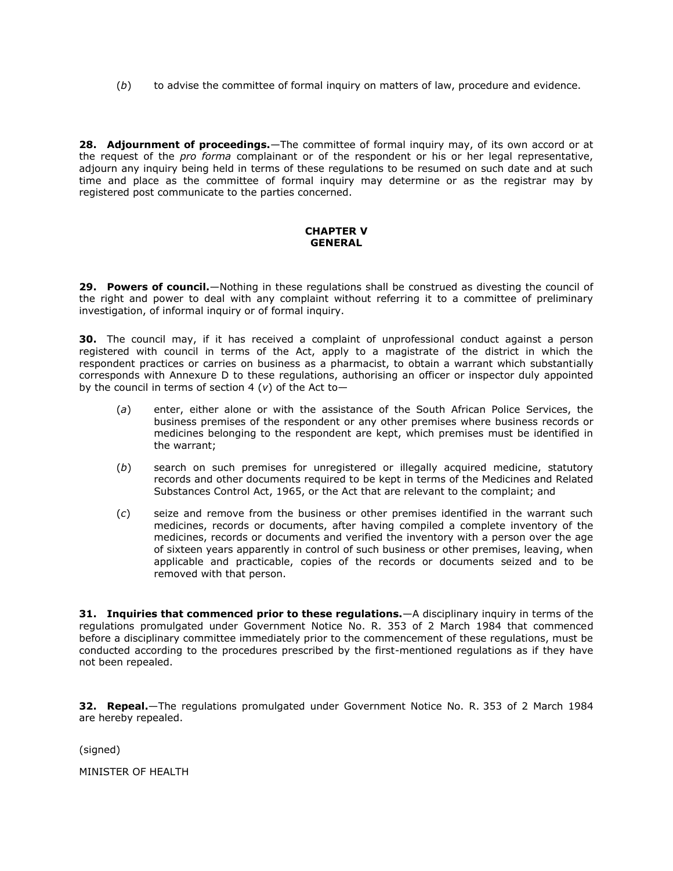(*b*) to advise the committee of formal inquiry on matters of law, procedure and evidence.

**28. Adjournment of proceedings.**—The committee of formal inquiry may, of its own accord or at the request of the *pro forma* complainant or of the respondent or his or her legal representative, adjourn any inquiry being held in terms of these regulations to be resumed on such date and at such time and place as the committee of formal inquiry may determine or as the registrar may by registered post communicate to the parties concerned.

# **CHAPTER V GENERAL**

**29. Powers of council.**—Nothing in these regulations shall be construed as divesting the council of the right and power to deal with any complaint without referring it to a committee of preliminary investigation, of informal inquiry or of formal inquiry.

**30.** The council may, if it has received a complaint of unprofessional conduct against a person registered with council in terms of the Act, apply to a magistrate of the district in which the respondent practices or carries on business as a pharmacist, to obtain a warrant which substantially corresponds with [Annexure D](http://www.mylexisnexis.co.za/nxt/gateway.dll/jilc/kilc/xjsg/zmsg/cnsg/6ok2a/qvk2a/wwk2a#3ty) to these regulations, authorising an officer or inspector duly appointed by the council in terms of [section 4 \(](http://www.mylexisnexis.co.za/nxt/gateway.dll/jilc/kilc/xjsg/zmsg/0msg/m14h#m)*v*) of the Act to—

- (*a*) enter, either alone or with the assistance of the South African Police Services, the business premises of the respondent or any other premises where business records or medicines belonging to the respondent are kept, which premises must be identified in the warrant;
- (*b*) search on such premises for unregistered or illegally acquired medicine, statutory records and other documents required to be kept in terms of the Medicines and Related Substances Control Act, 1965, or the Act that are relevant to the complaint; and
- (*c*) seize and remove from the business or other premises identified in the warrant such medicines, records or documents, after having compiled a complete inventory of the medicines, records or documents and verified the inventory with a person over the age of sixteen years apparently in control of such business or other premises, leaving, when applicable and practicable, copies of the records or documents seized and to be removed with that person.

**31. Inquiries that commenced prior to these regulations.**—A disciplinary inquiry in terms of the regulations promulgated under Government Notice No. R. 353 of 2 March 1984 that commenced before a disciplinary committee immediately prior to the commencement of these regulations, must be conducted according to the procedures prescribed by the first-mentioned regulations as if they have not been repealed.

**32. Repeal.**—The regulations promulgated under Government Notice No. R. 353 of 2 March 1984 are hereby repealed.

(signed)

MINISTER OF HEALTH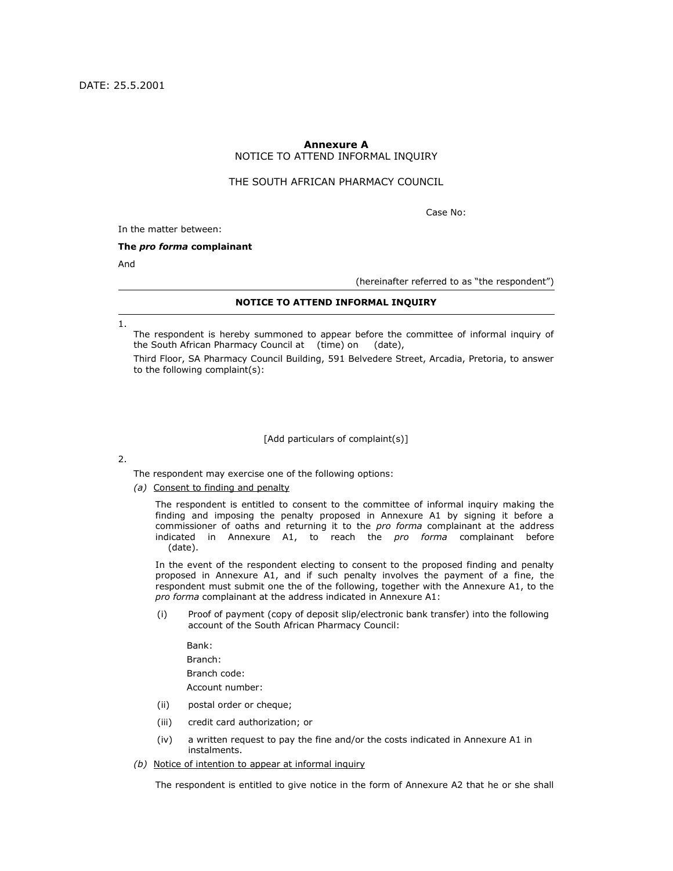# **Annexure A** NOTICE TO ATTEND INFORMAL INQUIRY

## THE SOUTH AFRICAN PHARMACY COUNCIL

Case No:

In the matter between:

#### **The** *pro forma* **complainant**

And

(hereinafter referred to as "the respondent")

## **NOTICE TO ATTEND INFORMAL INQUIRY**

1.

The respondent is hereby summoned to appear before the committee of informal inquiry of the South African Pharmacy Council at (time) on (date),

Third Floor, SA Pharmacy Council Building, 591 Belvedere Street, Arcadia, Pretoria, to answer to the following complaint(s):

#### [Add particulars of complaint(s)]

#### 2.

The respondent may exercise one of the following options:

*(a)* Consent to finding and penalty

The respondent is entitled to consent to the committee of informal inquiry making the finding and imposing the penalty proposed in Annexure A1 by signing it before a commissioner of oaths and returning it to the *pro forma* complainant at the address indicated in Annexure A1, to reach the *pro forma* complainant before (date).

In the event of the respondent electing to consent to the proposed finding and penalty proposed in Annexure A1, and if such penalty involves the payment of a fine, the respondent must submit one the of the following, together with the Annexure A1, to the *pro forma* complainant at the address indicated in Annexure A1:

(i) Proof of payment (copy of deposit slip/electronic bank transfer) into the following account of the South African Pharmacy Council:

Bank:

Branch:

Branch code:

Account number:

- (ii) postal order or cheque;
- (iii) credit card authorization; or
- (iv) a written request to pay the fine and/or the costs indicated in Annexure A1 in instalments.
- *(b)* Notice of intention to appear at informal inquiry

The respondent is entitled to give notice in the form of Annexure A2 that he or she shall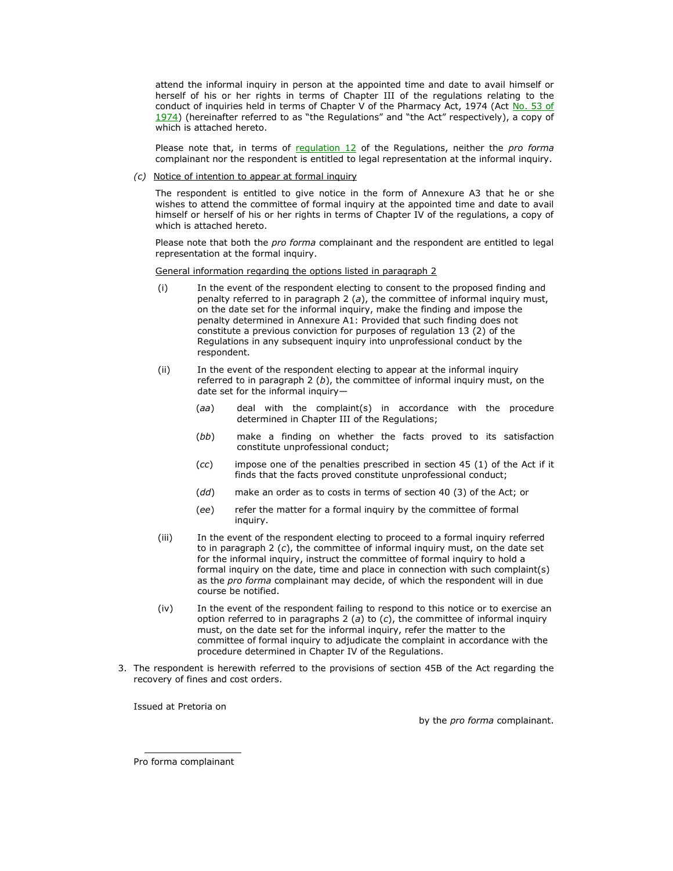attend the informal inquiry in person at the appointed time and date to avail himself or herself of his or her rights in terms of Chapter III of the regulations relating to the conduct of inquiries held in terms of Chapter V of the Pharmacy Act, 1974 (Act No. 53 of  $1974$ ) (hereinafter referred to as "the Regulations" and "the Act" respectively), a copy of which is attached hereto.

Please note that, in terms of [regulation 12](http://www.mylexisnexis.co.za/nxt/gateway.dll/jilc/kilc/xjsg/zmsg/cnsg/6ok2a/qvk2a/2vk2a#3rj) of the Regulations, neither the *pro forma*  complainant nor the respondent is entitled to legal representation at the informal inquiry.

#### *(c)* Notice of intention to appear at formal inquiry

The respondent is entitled to give notice in the form of Annexure A3 that he or she wishes to attend the committee of formal inquiry at the appointed time and date to avail himself or herself of his or her rights in terms of Chapter IV of the regulations, a copy of which is attached hereto.

Please note that both the *pro forma* complainant and the respondent are entitled to legal representation at the formal inquiry.

#### General information regarding the options listed in paragraph 2

- (i) In the event of the respondent electing to consent to the proposed finding and penalty referred to in paragraph 2 (*a*), the committee of informal inquiry must, on the date set for the informal inquiry, make the finding and impose the penalty determined in Annexure A1: Provided that such finding does not constitute a previous conviction for purposes of [regulation 13 \(2\)](http://www.mylexisnexis.co.za/nxt/gateway.dll/jilc/kilc/xjsg/zmsg/cnsg/6ok2a/qvk2a/3vk2a#3ru) of the Regulations in any subsequent inquiry into unprofessional conduct by the respondent.
- (ii) In the event of the respondent electing to appear at the informal inquiry referred to in paragraph 2 (*b*), the committee of informal inquiry must, on the date set for the informal inquiry—
	- (*aa*) deal with the complaint(s) in accordance with the procedure determined in Chapter III of the Regulations;
	- (*bb*) make a finding on whether the facts proved to its satisfaction constitute unprofessional conduct;
	- (*cc*) impose one of the penalties prescribed in [section 45 \(1\)](http://www.mylexisnexis.co.za/nxt/gateway.dll/jilc/kilc/xjsg/zmsg/0msg/434h#1) of the Act if it finds that the facts proved constitute unprofessional conduct;
	- (*dd*) make an order as to costs in terms of [section 40 \(3\)](http://www.mylexisnexis.co.za/nxt/gateway.dll/jilc/kilc/xjsg/zmsg/0msg/u34h#a) of the Act; or
	- (*ee*) refer the matter for a formal inquiry by the committee of formal inquiry.
- (iii) In the event of the respondent electing to proceed to a formal inquiry referred to in paragraph 2 (*c*), the committee of informal inquiry must, on the date set for the informal inquiry, instruct the committee of formal inquiry to hold a formal inquiry on the date, time and place in connection with such complaint(s) as the *pro forma* complainant may decide, of which the respondent will in due course be notified.
- (iv) In the event of the respondent failing to respond to this notice or to exercise an option referred to in paragraphs 2 (*a*) to (*c*), the committee of informal inquiry must, on the date set for the informal inquiry, refer the matter to the committee of formal inquiry to adjudicate the complaint in accordance with the procedure determined in Chapter IV of the Regulations.
- 3. The respondent is herewith referred to the provisions of [section 45B](http://www.mylexisnexis.co.za/nxt/gateway.dll/jilc/kilc/xjsg/zmsg/0msg/834h#0) of the Act regarding the recovery of fines and cost orders.

Issued at Pretoria on

by the *pro forma* complainant.

Pro forma complainant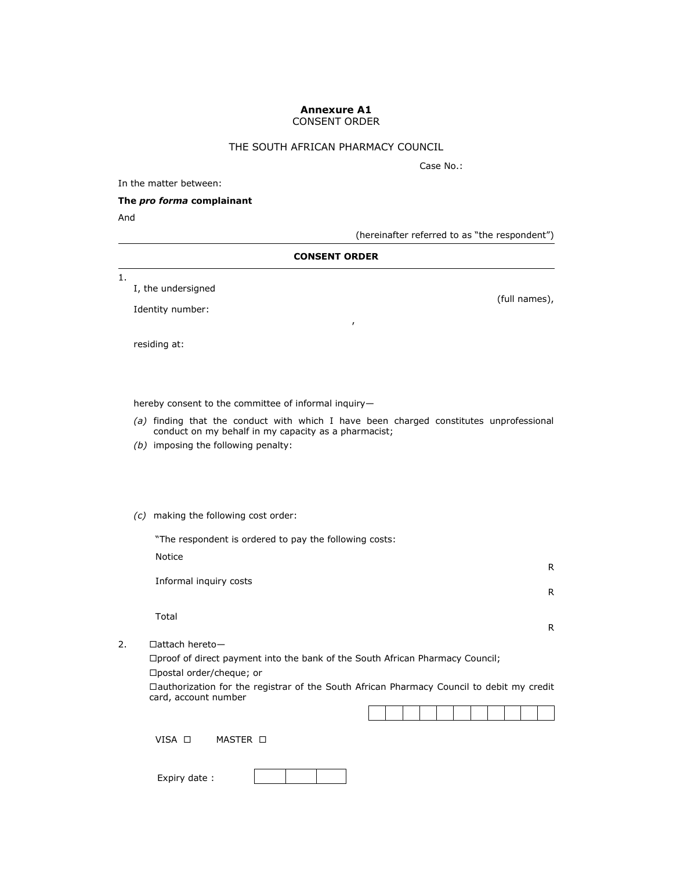# **Annexure A1**

CONSENT ORDER

# THE SOUTH AFRICAN PHARMACY COUNCIL

Case No.:

In the matter between:

# **The** *pro forma* **complainant**

And

(hereinafter referred to as "the respondent")

## **CONSENT ORDER**

,

1.

I, the undersigned

Identity number:

residing at:

hereby consent to the committee of informal inquiry—

- *(a)* finding that the conduct with which I have been charged constitutes unprofessional conduct on my behalf in my capacity as a pharmacist;
- *(b)* imposing the following penalty:
- *(c)* making the following cost order:

"The respondent is ordered to pay the following costs:

Notice

Informal inquiry costs

Total

2.  $\Box$ attach hereto-

proof of direct payment into the bank of the South African Pharmacy Council; □postal order/cheque; or

authorization for the registrar of the South African Pharmacy Council to debit my credit card, account number

VISA **D** MASTER **D** 

Expiry date :

(full names),

R

R

R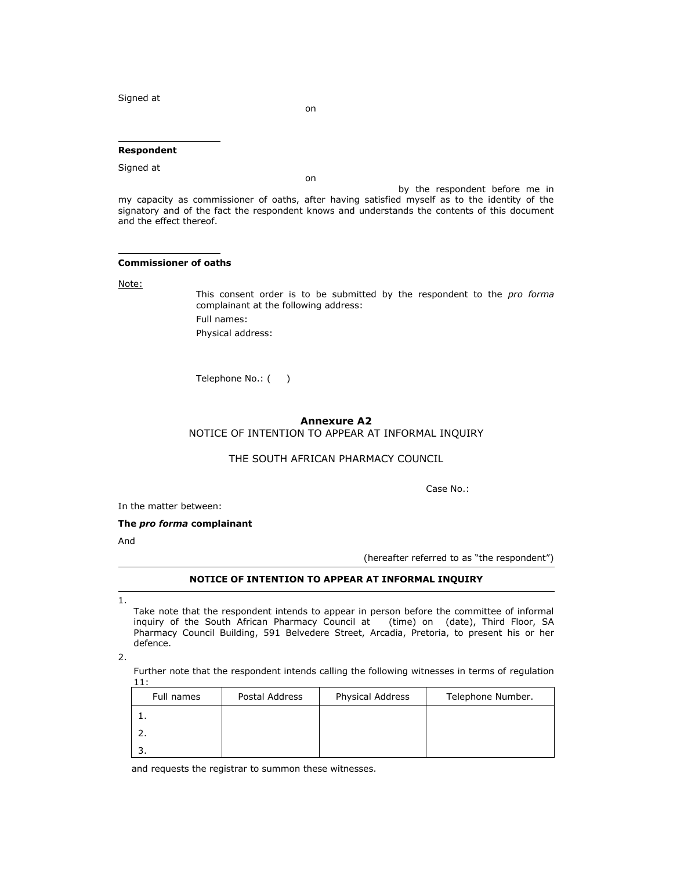Signed at

on

on

## **Respondent**

Signed at

by the respondent before me in my capacity as commissioner of oaths, after having satisfied myself as to the identity of the signatory and of the fact the respondent knows and understands the contents of this document and the effect thereof.

#### **Commissioner of oaths**

Note:

This consent order is to be submitted by the respondent to the *pro forma*  complainant at the following address: Full names: Physical address:

Telephone No.: ()

#### **Annexure A2**

NOTICE OF INTENTION TO APPEAR AT INFORMAL INQUIRY

#### THE SOUTH AFRICAN PHARMACY COUNCIL

Case No.:

In the matter between:

**The** *pro forma* **complainant**

And

(hereafter referred to as "the respondent")

## **NOTICE OF INTENTION TO APPEAR AT INFORMAL INQUIRY**

1.

Take note that the respondent intends to appear in person before the committee of informal inquiry of the South African Pharmacy Council at (time) on (date), Third Floor, SA Pharmacy Council Building, 591 Belvedere Street, Arcadia, Pretoria, to present his or her defence.

2.

Further note that the respondent intends calling the following witnesses in terms of [regulation](http://www.mylexisnexis.co.za/nxt/gateway.dll/jilc/kilc/xjsg/zmsg/cnsg/6ok2a/qvk2a/1vk2a#3rf)  [11:](http://www.mylexisnexis.co.za/nxt/gateway.dll/jilc/kilc/xjsg/zmsg/cnsg/6ok2a/qvk2a/1vk2a#3rf)

| Full names | Postal Address | Physical Address | Telephone Number. |
|------------|----------------|------------------|-------------------|
|            |                |                  |                   |
|            |                |                  |                   |
|            |                |                  |                   |

and requests the registrar to summon these witnesses.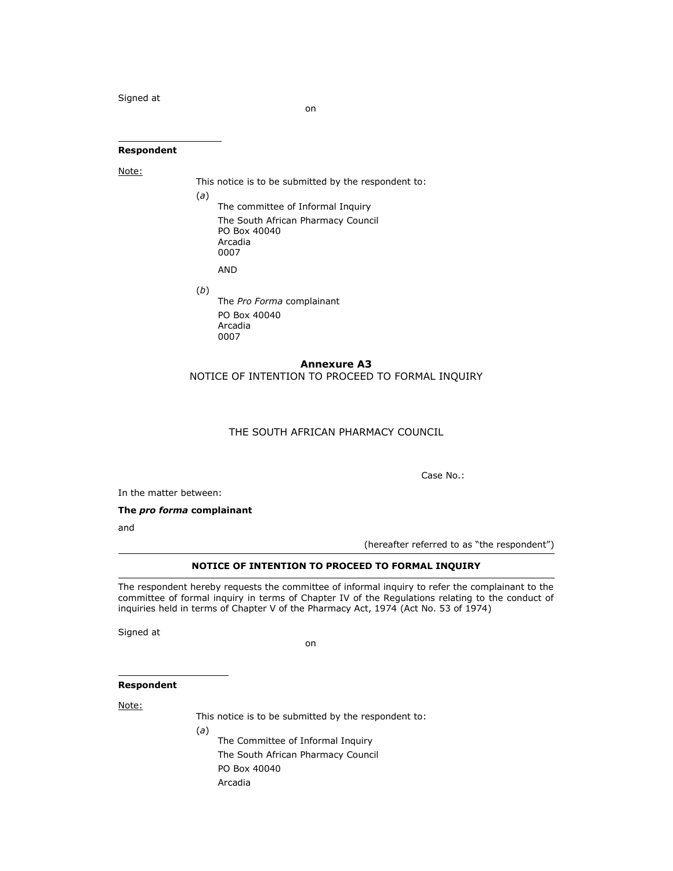Signed at

on

#### **Respondent**

Note:

This notice is to be submitted by the respondent to:

(*a*)

- The committee of Informal Inquiry The South African Pharmacy Council PO Box 40040 Arcadia 0007 AND
- (*b*) The *Pro Forma* complainant PO Box 40040 Arcadia 0007

# **Annexure A3**

NOTICE OF INTENTION TO PROCEED TO FORMAL INQUIRY

## THE SOUTH AFRICAN PHARMACY COUNCIL

Case No.:

In the matter between:

**The** *pro forma* **complainant**

(*a*)

and

(hereafter referred to as "the respondent")

#### **NOTICE OF INTENTION TO PROCEED TO FORMAL INQUIRY**

The respondent hereby requests the committee of informal inquiry to refer the complainant to the committee of formal inquiry in terms of Chapter IV of the Regulations relating to the conduct of inquiries held in terms of Chapter V of the Pharmacy Act, 1974 (Act [No. 53 of 1974\)](http://www.mylexisnexis.co.za/nxt/gateway.dll/jilc/kilc/xjsg/zmsg/0msg#0)

Signed at

on

## **Respondent**

Note:

This notice is to be submitted by the respondent to:

The Committee of Informal Inquiry The South African Pharmacy Council PO Box 40040 Arcadia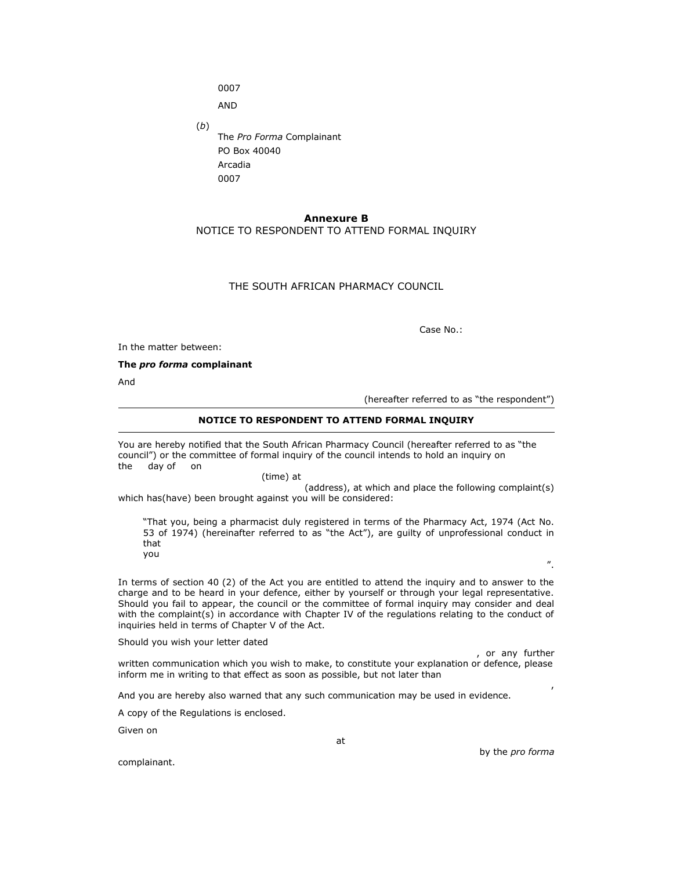0007

AND

(*b*) The *Pro Forma* Complainant PO Box 40040 Arcadia 0007

## **Annexure B**

## NOTICE TO RESPONDENT TO ATTEND FORMAL INQUIRY

## THE SOUTH AFRICAN PHARMACY COUNCIL

Case No.:

In the matter between:

**The** *pro forma* **complainant**

And

(hereafter referred to as "the respondent")

#### **NOTICE TO RESPONDENT TO ATTEND FORMAL INQUIRY**

You are hereby notified that the South African Pharmacy Council (hereafter referred to as "the council‖) or the committee of formal inquiry of the council intends to hold an inquiry on the day of on

(time) at

(address), at which and place the following complaint(s) which has(have) been brought against you will be considered:

―That you, being a pharmacist duly registered in terms of the Pharmacy Act, 1974 (Act [No.](http://www.mylexisnexis.co.za/nxt/gateway.dll/jilc/kilc/xjsg/zmsg/0msg#0)  [53 of 1974](http://www.mylexisnexis.co.za/nxt/gateway.dll/jilc/kilc/xjsg/zmsg/0msg#0)) (hereinafter referred to as "the Act"), are guilty of unprofessional conduct in that you

In terms of [section 40](http://www.mylexisnexis.co.za/nxt/gateway.dll/jilc/kilc/xjsg/zmsg/0msg/u34h#9) (2) of the Act you are entitled to attend the inquiry and to answer to the charge and to be heard in your defence, either by yourself or through your legal representative. Should you fail to appear, the council or the committee of formal inquiry may consider and deal with the complaint(s) in accordance with Chapter IV of the regulations relating to the conduct of inquiries held in terms of Chapter V of the Act.

Should you wish your letter dated

, or any further written communication which you wish to make, to constitute your explanation or defence, please inform me in writing to that effect as soon as possible, but not later than

And you are hereby also warned that any such communication may be used in evidence.

A copy of the Regulations is enclosed.

Given on

at

by the *pro forma* 

‖.

,

complainant.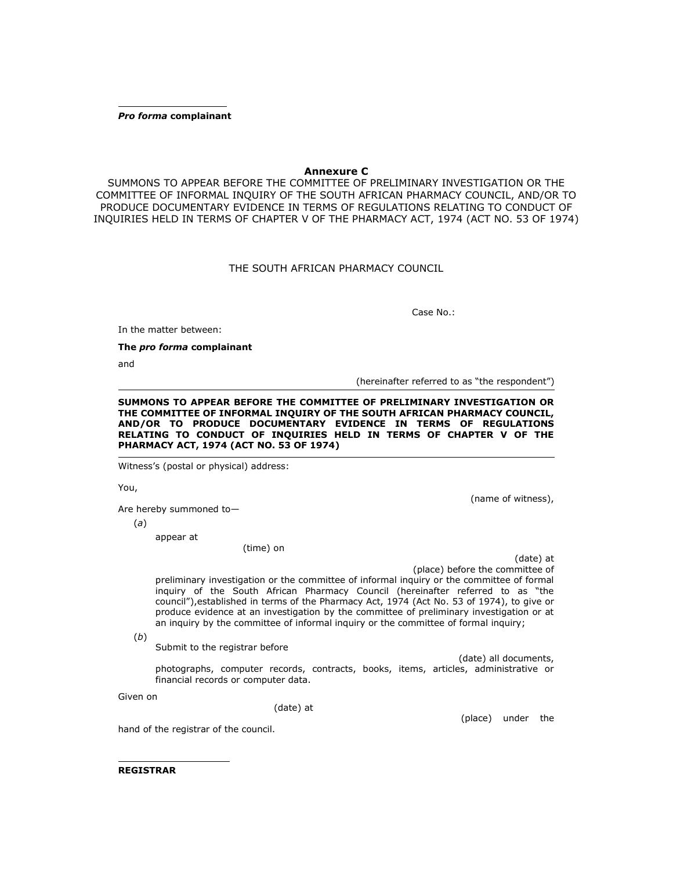*Pro forma* **complainant**

## **Annexure C**

SUMMONS TO APPEAR BEFORE THE COMMITTEE OF PRELIMINARY INVESTIGATION OR THE COMMITTEE OF INFORMAL INQUIRY OF THE SOUTH AFRICAN PHARMACY COUNCIL, AND/OR TO PRODUCE DOCUMENTARY EVIDENCE IN TERMS OF REGULATIONS RELATING TO CONDUCT OF INQUIRIES HELD IN TERMS OF CHAPTER V OF THE PHARMACY ACT, 1974 (ACT [NO. 53 OF 1974\)](http://www.mylexisnexis.co.za/nxt/gateway.dll/jilc/kilc/xjsg/zmsg/0msg#0)

## THE SOUTH AFRICAN PHARMACY COUNCIL

Case No.:

In the matter between:

**The** *pro forma* **complainant**

and

(hereinafter referred to as "the respondent")

**SUMMONS TO APPEAR BEFORE THE COMMITTEE OF PRELIMINARY INVESTIGATION OR THE COMMITTEE OF INFORMAL INQUIRY OF THE SOUTH AFRICAN PHARMACY COUNCIL, AND/OR TO PRODUCE DOCUMENTARY EVIDENCE IN TERMS OF REGULATIONS RELATING TO CONDUCT OF INQUIRIES HELD IN TERMS OF CHAPTER V OF THE PHARMACY ACT, 1974 (ACT [NO. 53 OF 1974\)](http://www.mylexisnexis.co.za/nxt/gateway.dll/jilc/kilc/xjsg/zmsg/0msg#0)**

Witness's (postal or physical) address:

You,

(name of witness),

Are hereby summoned to—

(*a*)

appear at

(time) on

(date) at (place) before the committee of

preliminary investigation or the committee of informal inquiry or the committee of formal inquiry of the South African Pharmacy Council (hereinafter referred to as "the council"), established in terms of the Pharmacy Act, 1974 (Act [No. 53 of 1974\)](http://www.mylexisnexis.co.za/nxt/gateway.dll/jilc/kilc/xjsg/zmsg/0msg#0), to give or produce evidence at an investigation by the committee of preliminary investigation or at an inquiry by the committee of informal inquiry or the committee of formal inquiry;

(*b*)

Submit to the registrar before

(date) all documents, photographs, computer records, contracts, books, items, articles, administrative or financial records or computer data.

Given on

(date) at

hand of the registrar of the council.

(place) under the

**REGISTRAR**